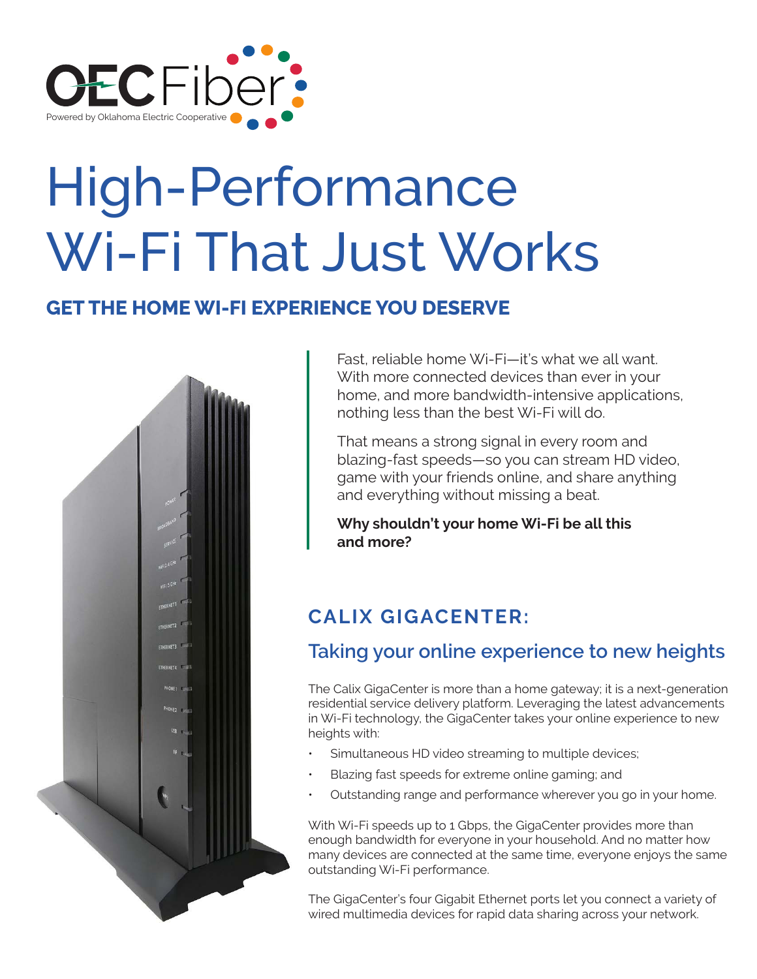

# High-Performance Wi-Fi That Just Works

## **GET THE HOME WI-FI EXPERIENCE YOU DESERVE**



Fast, reliable home Wi-Fi—it's what we all want. With more connected devices than ever in your home, and more bandwidth-intensive applications, nothing less than the best Wi-Fi will do.

That means a strong signal in every room and blazing-fast speeds—so you can stream HD video, game with your friends online, and share anything and everything without missing a beat.

**Why shouldn't your home Wi-Fi be all this and more?**

# **CALIX GIGACENTER:**

# **Taking your online experience to new heights**

The Calix GigaCenter is more than a home gateway; it is a next-generation residential service delivery platform. Leveraging the latest advancements in Wi-Fi technology, the GigaCenter takes your online experience to new heights with:

- Simultaneous HD video streaming to multiple devices;
- Blazing fast speeds for extreme online gaming; and
- Outstanding range and performance wherever you go in your home.

With Wi-Fi speeds up to 1 Gbps, the GigaCenter provides more than enough bandwidth for everyone in your household. And no matter how many devices are connected at the same time, everyone enjoys the same outstanding Wi-Fi performance.

The GigaCenter's four Gigabit Ethernet ports let you connect a variety of wired multimedia devices for rapid data sharing across your network.